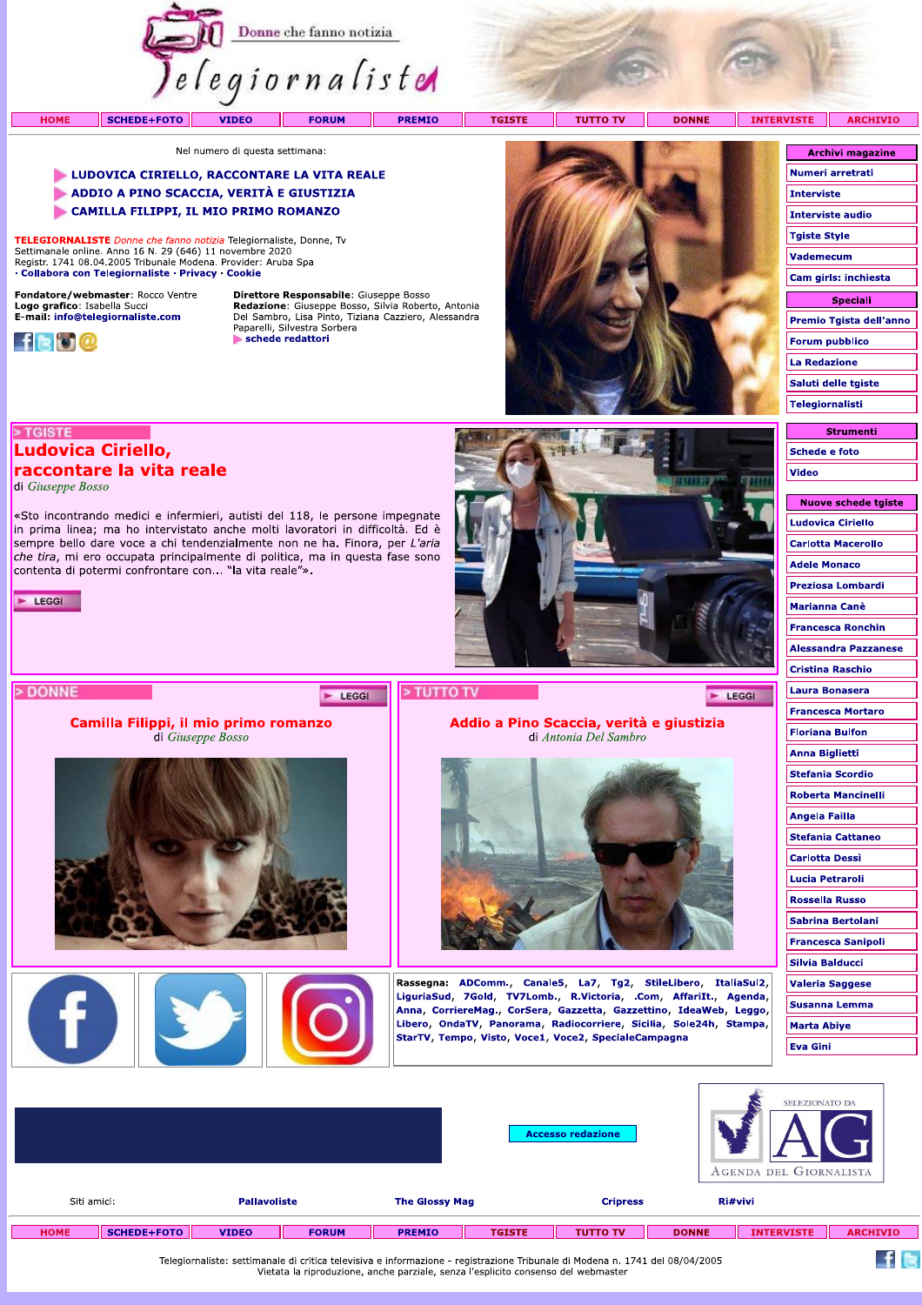

INTERVISTE **ARCHIVIO** SCHEDE+FOTO **TUTTO TV DONNE VIDEO FORUM PREMIO TGISTE** - 11

Nel numero di questa settimana:

### LUDOVICA CIRIELLO, RACCONTARE LA VITA REALE

- ADDIO A PINO SCACCIA, VERITÀ E GIUSTIZIA
- CAMILLA FILIPPI, IL MIO PRIMO ROMANZO

TELEGIORNALISTE Donne che fanno notizia Telegiornaliste, Donne, Tv Settimanale online. Anno 16 N. 29 (646) 11 novembre 2020<br>Registr. 1741 08.04.2005 Tribunale Modena. Provider: Aruba Spa · Collabora con Telegiornaliste · Privacy · Cookie

Fondatore/webmaster: Rocco Ventre Logo grafico: Isabella Succi<br>E-mail: info@telegiornaliste.com



**HOME** 

Direttore Responsabile: Giuseppe Bosso **Redazione:** Giuseppe Bosso, Silvia Roberto, Antonia<br>Del Sambro, Lisa Pinto, Tiziana Cazziero, Alessandra<br>Paparelli, Silvestra Sorbera schede redattori

### > TGISTE

# Ludovica Ciriello,

# raccontare la vita reale

di Giuseppe Bosso

«Sto incontrando medici e infermieri, autisti del 118, le persone impegnate in prima linea; ma ho intervistato anche molti lavoratori in difficoltà. Ed è sempre bello dare voce a chi tendenzialmente non ne ha. Finora, per L'aria che tira, mi ero occupata principalmente di politica, ma in questa fase sono contenta di potermi confrontare con... "la vita reale"».

Camilla Filippi, il mio primo romanzo

di Giuseppe Bosso

 $\blacktriangleright$  LEGGI



## > DONNE

#### > TUTTO TV E LEGGI

E LEGGI

Addio a Pino Scaccia, verità e giustizia di Antonia Del Sambro



Rassegna: ADComm., Canale5, La7, Tg2, StileLibero, ItaliaSul2, LiguriaSud, 7Gold, TV7Lomb., R.Victoria, .Com, AffariIt., Agenda, Anna, CorriereMag., CorSera, Gazzetta, Gazzettino, IdeaWeb, Leggo, Libero, OndaTV, Panorama, Radiocorriere, Sicilia, Sole24h, Stampa, StarTV, Tempo, Visto, Voce1, Voce2, SpecialeCampagna

| Archivi magazine        |
|-------------------------|
| Numeri arretrati        |
| <b>Interviste</b>       |
| <b>Interviste audio</b> |
| <b>Tgiste Style</b>     |
| Vademecum               |
| Cam girls: inchiesta    |
|                         |
| <b>Speciali</b>         |
| Premio Tgista dell'anno |
| <b>Forum pubblico</b>   |
| La Redazione            |
| Saluti delle tgiste     |

| <b>Strumenti</b> |  |  |  |  |  |  |
|------------------|--|--|--|--|--|--|
| Schede e foto    |  |  |  |  |  |  |
| Video            |  |  |  |  |  |  |

| nuove scneae τgiste         |
|-----------------------------|
| <b>Ludovica Ciriello</b>    |
| <b>Carlotta Macerollo</b>   |
| <b>Adele Monaco</b>         |
| <b>Preziosa Lombardi</b>    |
| <b>Marianna Canè</b>        |
| <b>Francesca Ronchin</b>    |
| <b>Alessandra Pazzanese</b> |
| Cristina Raschio            |
| Laura Bonasera              |
| <b>Francesca Mortaro</b>    |
| <b>Floriana Bulfon</b>      |
| Anna Biglietti              |
| <b>Stefania Scordio</b>     |
| <b>Roberta Mancinelli</b>   |
| Angela Failla               |
| <b>Stefania Cattaneo</b>    |
| <b>Carlotta Dessi</b>       |
| Lucia Petraroli             |
| <b>Rossella Russo</b>       |
| Sabrina Bertolani           |
| <b>Francesca Sanipoli</b>   |
| Silvia Balducci             |
| <b>Valeria Saggese</b>      |
| Susanna Lemma               |
| <b>Marta Abiye</b>          |
| Eva Gini                    |
|                             |

 $f$  is

|                                    |                    |                       |              |                 |               | <b>Accesso redazione</b> | 'ma<br>c,    | SELEZIONATO DA<br>AGENDA DEL GIORNALISTA |                 |
|------------------------------------|--------------------|-----------------------|--------------|-----------------|---------------|--------------------------|--------------|------------------------------------------|-----------------|
| Siti amici:<br><b>Pallavoliste</b> |                    | <b>The Glossy Mag</b> |              | <b>Cripress</b> |               | Ri#vivi                  |              |                                          |                 |
| <b>HOME</b>                        | <b>SCHEDE+FOTO</b> | <b>VIDEO</b>          | <b>FORUM</b> | <b>PREMIO</b>   | <b>TGISTE</b> | <b>TUTTO TV</b>          | <b>DONNE</b> | <b>INTERVISTE</b>                        | <b>ARCHIVIO</b> |

Telegiornaliste: settimanale di critica televisiva e informazione - registrazione Tribunale di Modena n. 1741 del 08/04/2005<br>Vietata la riproduzione, anche parziale, senza l'esplicito consenso del webmaster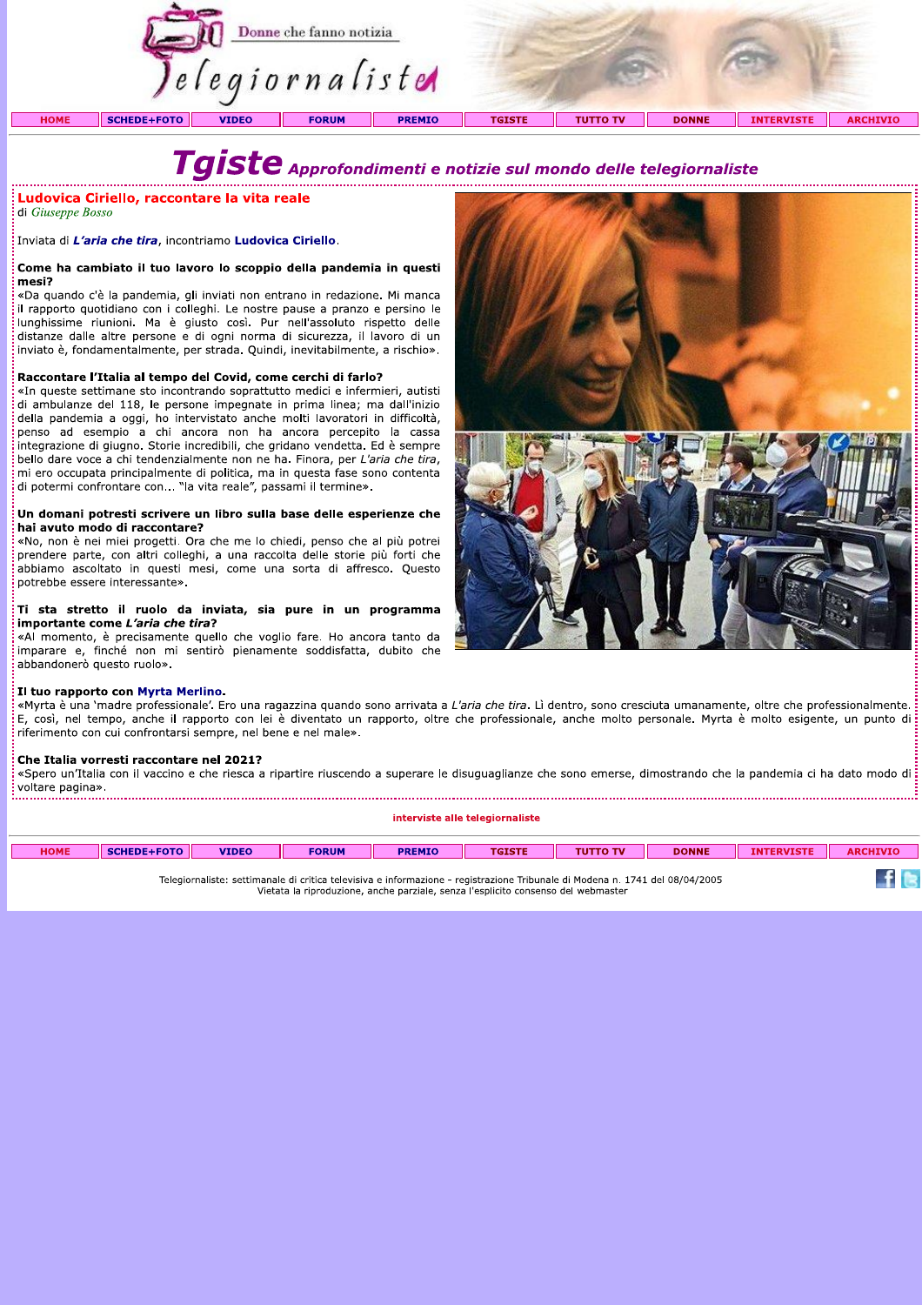

di Giuseppe Bosso

**Example 18 Approfondimenti e la vita reale<br>
di Giuseppe Bosso<br>
Inviata di L'aria che tira, incontriamo Ludovica Ciriello.<br>
Come ha cambiato il tuo lavoro lo scoppio della pandemia in questi<br>
mesi?<br>
a quando c'è la pandemi** 

#### Raccontare l'Italia al tempo del Covid, come cerchi di farlo?

«In queste settimane sto incontrando soprattutto medici e infermieri, autisti di ambulanze del 118, le persone impegnate in prima linea; ma dall'inizio della pandemia a oggi, ho intervistato anche molti lavoratori in difficoltà, penso ad esempio a chi ancora non ha ancora percepito la cassa integrazione di giugno. Storie incredibili, che gridano vendetta. Ed è sempre bello dare voce a chi tendenzialmente non ne ha. Finora, per L'aria che tira, mi ero occupata principalmente di politica, ma in questa fase sono contenta di potermi confrontare con... "la vita reale", passami il termine».

#### Un domani potresti scrivere un libro sulla base delle esperienze che hai avuto modo di raccontare?

«No, non è nei miei progetti. Ora che me lo chiedi, penso che al più potrei prendere parte, con altri colleghi, a una raccolta delle storie più forti che abbiamo ascoltato in questi mesi, come una sorta di affresco. Questo potrebbe essere interessante».

#### II sta stretto il ruolo da inviata, sia pure in un programma importante come L'aria che tira?

«Al momento, è precisamente quello che voglio fare. Ho ancora tanto da imparare e, finché non mi sentirò pienamente soddisfatta, dubito che abbandonerò questo ruolo».



#### Il tuo rapporto con Myrta Merlino.

«Myrta è una 'madre professionale'. Ero una ragazzina quando sono arrivata a L'aria che tira. Lì dentro, sono cresciuta umanamente, oltre che professionalmente.  $\dot{\varepsilon}$ , così, nel tempo, anche il rapporto con lei è diventato un rapporto, oltre che professionale, anche molto personale. Myrta è molto esigente, un punto di riferimento con cui confrontarsi sempre, nel bene e nel male».

#### Che Italia vorresti raccontare nel 2021?

«Spero un'Italia con il vaccino e che riesca a ripartire riuscendo a superare le disuguaglianze che sono emerse, dimostrando che la pandemia ci ha dato modo di : voltare pagina».

interviste alle telegiornaliste

| <b>HOME</b> | <b>SCHEDE+FOTO</b> | <b>VIDEO</b> | <b>FORUM</b> | <b>PREMIO</b> | TGISTE                                                                                                                                                                                                            | <b>THITTO TV</b> | <b>DONNE</b> | <b>INTERVISTE</b> | <b>ARCHIVIO</b> |
|-------------|--------------------|--------------|--------------|---------------|-------------------------------------------------------------------------------------------------------------------------------------------------------------------------------------------------------------------|------------------|--------------|-------------------|-----------------|
|             |                    |              |              |               | Telegiornaliste: settimanale di critica televisiva e informazione - registrazione Tribunale di Modena n. 1741 del 08/04/2005<br>Vietata la riproduzione, anche parziale, senza l'esplicito consenso del webmaster |                  |              |                   |                 |

Nelegiornaliste: settimanale di critica televisiva e informazione - registrazione Tribunale di Modena n. 1741<br>Vietata la riproduzione, anche parziale, senza l'esplicito consenso del webmaster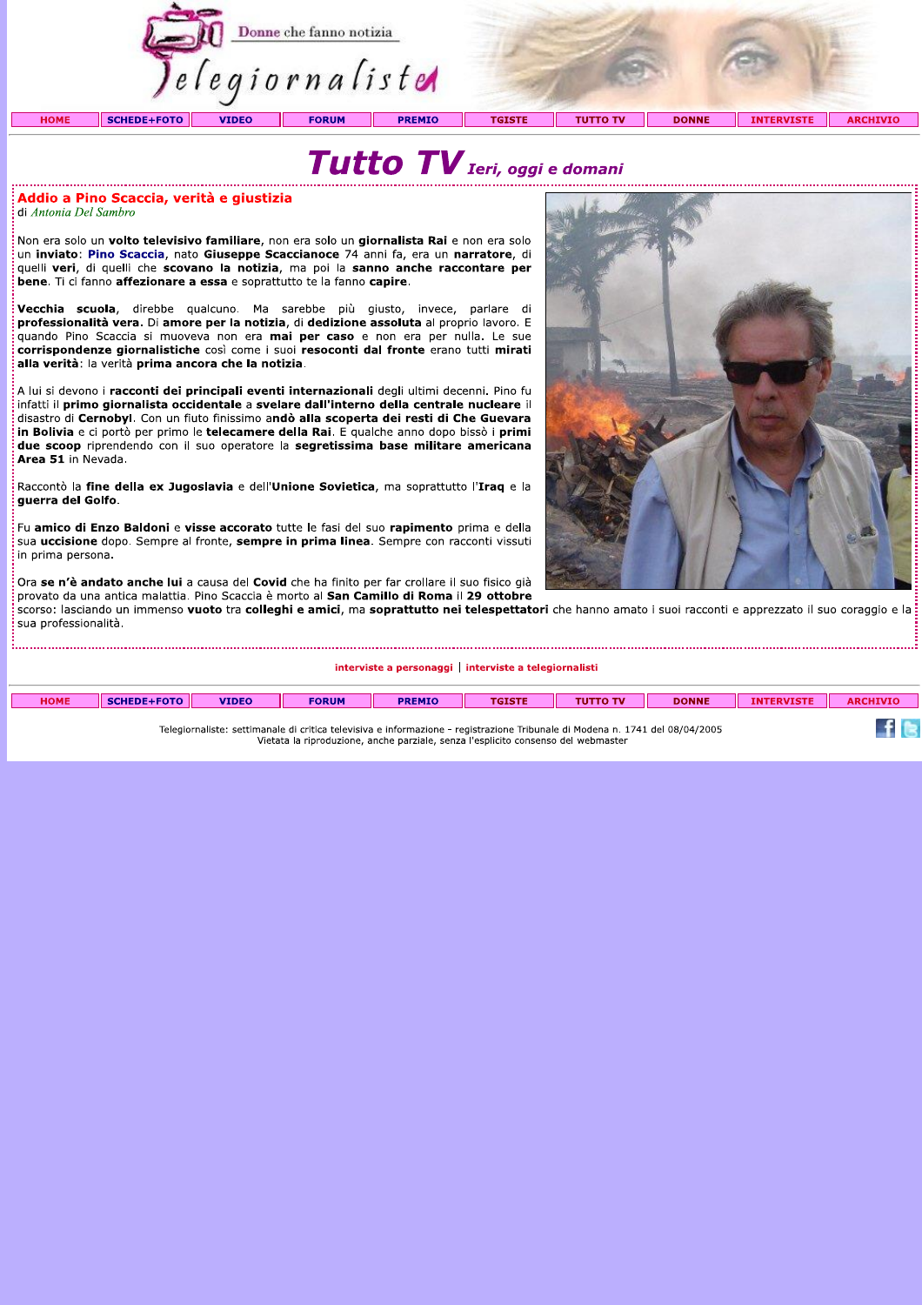|             |                    |              | Donne che fanno notizia<br>elegiornaliste |               |               |                 |              |                   |                 |
|-------------|--------------------|--------------|-------------------------------------------|---------------|---------------|-----------------|--------------|-------------------|-----------------|
| <b>HOME</b> | <b>SCHEDE+FOTO</b> | <b>VIDEO</b> | <b>FORUM</b>                              | <b>PREMIO</b> | <b>TGISTE</b> | <b>TUTTO TV</b> | <b>DONNE</b> | <b>INTERVISTE</b> | <b>ARCHIVIO</b> |
|             |                    |              |                                           |               |               |                 |              |                   |                 |



#### Addio a Pino Scaccia, verità e giustizia di Antonia Del Sambro

.<br>Non era solo un **volto televisivo familiare**, non era solo un giornalista Rai e non era solo un inviato: Pino Scaccia, nato Giuseppe Scaccianoce 74 anni fa, era un narratore, di quelli veri, di quelli che scovano la notizia, ma poi la sanno anche raccontare per bene. Ti ci fanno affezionare a essa e soprattutto te la fanno capire.

Vecchia scuola, direbbe qualcuno. Ma sarebbe più giusto, invece, parlare di professionalità vera. Di amore per la notizia, di dedizione assoluta al proprio lavoro. E quando Pino Scaccia si muoveva non era mai per caso e non era per nulla. Le sue corrispondenze giornalistiche così come i suoi resoconti dal fronte erano tutti mirati alla verità: la verità prima ancora che la notizia.

A lui si devono i racconti dei principali eventi internazionali degli ultimi decenni. Pino fu infatti il primo giornalista occidentale a svelare dall'interno della centrale nucleare il disastro di Cernobyl. Con un fiuto finissimo andò alla scoperta dei resti di Che Guevara in Bolivia e ci portò per primo le telecamere della Rai. E qualche anno dopo bissò i primi due scoop riprendendo con il suo operatore la segretissima base militare americana Area 51 in Nevada.

Raccontò la fine della ex Jugoslavia e dell'Unione Sovietica, ma soprattutto l'Iraq e la guerra del Golfo.

.<br>Fu amico di Enzo Baldoni e visse accorato tutte le fasi del suo rapimento prima e della sua uccisione dopo. Sempre al fronte, sempre in prima linea. Sempre con racconti vissuti in prima persona.

.<br>Ora se n'è andato anche lui a causa del Covid che ha finito per far crollare il suo fisico già :<br>provato da una antica malattia. Pino Scaccia è morto al San Camillo di Roma il 29 ottobre

scorso: lasciando un immenso vuoto tra colleghi e amici, ma soprattutto nei telespettatori che hanno amato i suoi racconti e apprezzato il suo coraggio e la sua professionalità.

interviste a personaggi | interviste a telegiornalisti

| <b>HOME</b> | <b>SCHEDE+FOTO</b> | <b>VIDEO</b> | <b>FORUM</b> | <b>PREMIO</b> | <b>TGISTE</b>                                                                     | <b>TUTTO TV</b>                                                                                                              | <b>DONNE</b> | <b>INTERVISTE</b> | <b>ARCHIVIO</b> |
|-------------|--------------------|--------------|--------------|---------------|-----------------------------------------------------------------------------------|------------------------------------------------------------------------------------------------------------------------------|--------------|-------------------|-----------------|
|             |                    |              |              |               | Vietata la riproduzione, anche parziale, senza l'esplicito consenso del webmaster | Telegiornaliste: settimanale di critica televisiva e informazione - registrazione Tribunale di Modena n. 1741 del 08/04/2005 |              |                   |                 |